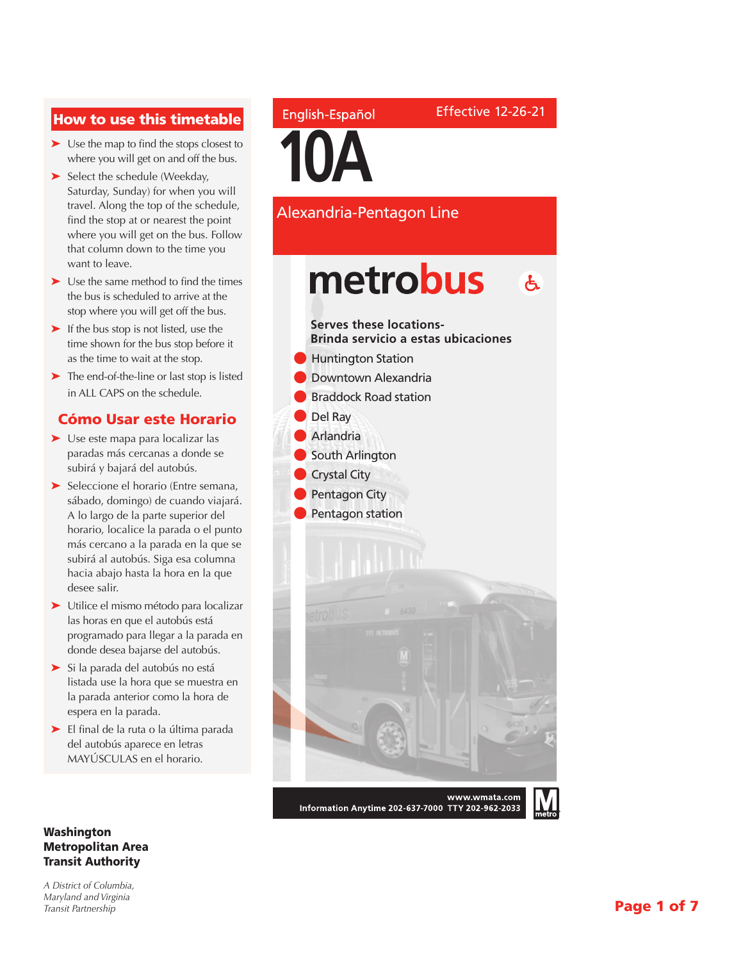### How to use this timetable

- ➤ Use the map to find the stops closest to where you will get on and off the bus.
- ➤ Select the schedule (Weekday, Saturday, Sunday) for when you will travel. Along the top of the schedule, find the stop at or nearest the point where you will get on the bus. Follow that column down to the time you want to leave.
- ➤ Use the same method to find the times the bus is scheduled to arrive at the stop where you will get off the bus.
- ➤ If the bus stop is not listed, use the time shown for the bus stop before it as the time to wait at the stop.
- ➤ The end-of-the-line or last stop is listed in ALL CAPS on the schedule.

#### Cómo Usar este Horario

- ➤ Use este mapa para localizar las paradas más cercanas a donde se subirá y bajará del autobús.
- ➤ Seleccione el horario (Entre semana, sábado, domingo) de cuando viajará. A lo largo de la parte superior del horario, localice la parada o el punto más cercano a la parada en la que se subirá al autobús. Siga esa columna hacia abajo hasta la hora en la que desee salir.
- ➤ Utilice el mismo método para localizar las horas en que el autobús está programado para llegar a la parada en donde desea bajarse del autobús.
- ➤ Si la parada del autobús no está listada use la hora que se muestra en la parada anterior como la hora de espera en la parada.
- ➤ El final de la ruta o la última parada del autobús aparece en letras MAYÚSCULAS en el horario.

#### Washington Metropolitan Area Transit Authority

*A District of Columbia, Maryland and Virginia Transit Partnership*

#### English-Español

**10A**

Alexandria-Pentagon Line

Effective 12-26-21



Information Anytime 202-637-7000 TTY 202-962-2033

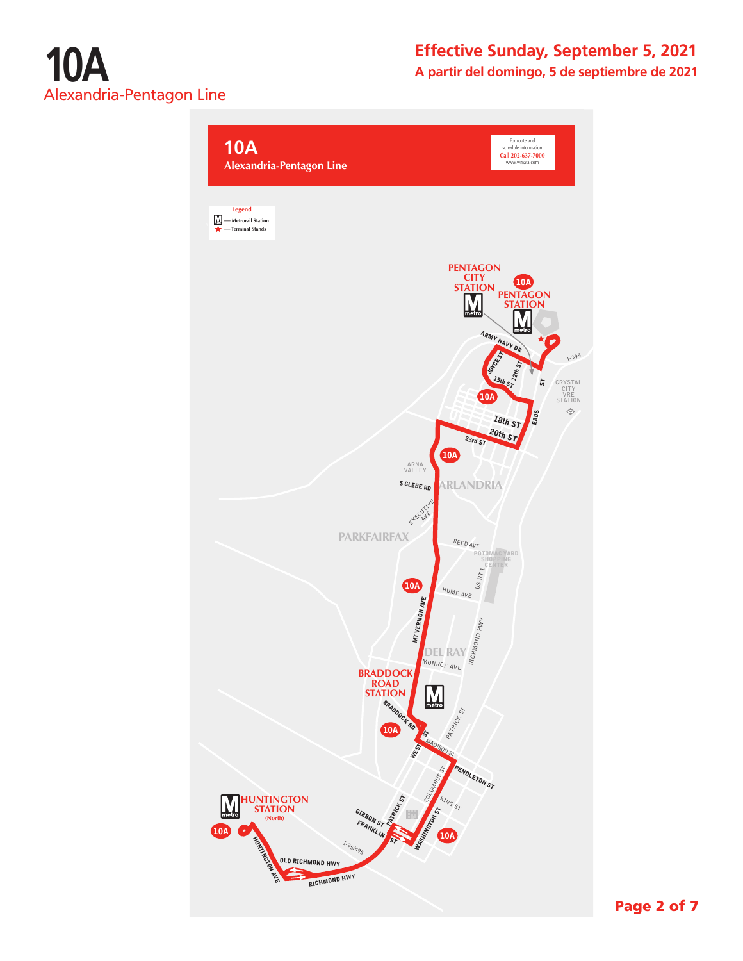

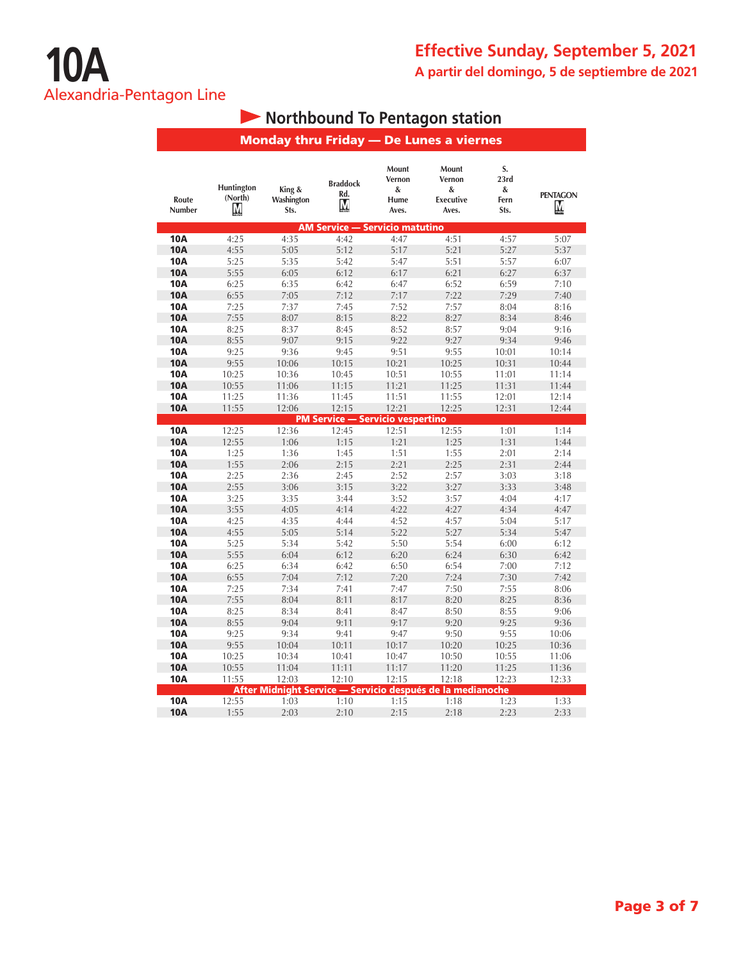# **• Northbound To Pentagon station**

|                          |                            |                              |                                         | <b>Monday thru Friday - De Lunes a viernes</b> |                                                            |                                 |                      |  |
|--------------------------|----------------------------|------------------------------|-----------------------------------------|------------------------------------------------|------------------------------------------------------------|---------------------------------|----------------------|--|
| Route<br>Number          | Huntington<br>(North)<br>М | King &<br>Washington<br>Sts. | <b>Braddock</b><br>Rd.<br>Μ             | Mount<br>Vernon<br>&<br>Hume<br>Aves.          | Mount<br>Vernon<br>&<br><b>Executive</b><br>Aves.          | S.<br>23rd<br>&<br>Fern<br>Sts. | <b>PENTAGON</b><br>M |  |
|                          |                            |                              | <b>AM Service - Servicio matutino</b>   |                                                |                                                            |                                 |                      |  |
| <b>10A</b>               | 4:25                       | 4:35                         | 4:42                                    | 4:47                                           | 4:51                                                       | 4:57                            | 5:07                 |  |
| <b>10A</b>               | 4:55                       | 5:05                         | 5:12                                    | 5:17                                           | 5:21                                                       | 5:27                            | 5:37                 |  |
| <b>10A</b>               | 5:25                       | 5:35                         | 5:42                                    | 5:47                                           | 5:51                                                       | 5:57                            | 6:07                 |  |
| <b>10A</b>               | 5:55                       | 6:05                         | 6:12                                    | 6:17                                           | 6:21                                                       | 6:27                            | 6:37                 |  |
| <b>10A</b>               | 6:25                       | 6:35                         | 6:42                                    | 6:47                                           | 6:52                                                       | 6:59                            | 7:10                 |  |
| <b>10A</b>               | 6:55                       | 7:05                         | 7:12                                    | 7:17                                           | 7:22                                                       | 7:29                            | 7:40                 |  |
| <b>10A</b>               | 7:25                       | 7:37                         | 7:45                                    | 7:52                                           | 7:57                                                       | 8:04                            | 8:16                 |  |
| <b>10A</b>               | 7:55                       | 8:07                         | 8:15                                    | 8:22                                           | 8:27                                                       | 8:34                            | 8:46                 |  |
| <b>10A</b>               | 8:25                       | 8:37                         | 8:45                                    | 8:52                                           | 8:57                                                       | 9:04                            | 9:16                 |  |
| <b>10A</b>               | 8:55                       | 9:07                         | 9:15                                    | 9:22                                           | 9:27                                                       | 9:34                            | 9:46                 |  |
| <b>10A</b>               | 9:25                       | 9:36                         | 9:45                                    | 9:51                                           | 9:55                                                       | 10:01                           | 10:14                |  |
| <b>10A</b>               | 9:55                       | 10:06                        | 10:15                                   | 10:21                                          | 10:25                                                      | 10:31                           | 10:44                |  |
| <b>10A</b>               | 10:25                      | 10:36                        | 10:45                                   | 10:51                                          | 10:55                                                      | 11:01                           | 11:14                |  |
| <b>10A</b>               | 10:55                      | 11:06                        | 11:15                                   | 11:21                                          | 11:25                                                      | 11:31                           | 11:44                |  |
| <b>10A</b>               | 11:25                      | 11:36                        | 11:45                                   | 11:51                                          | 11:55                                                      | 12:01                           | 12:14                |  |
| <b>10A</b>               | 11:55                      | 12:06                        | 12:15                                   | 12:21                                          | 12:25                                                      | 12:31                           | 12:44                |  |
|                          |                            |                              | <b>PM Service - Servicio vespertino</b> | 12:51                                          |                                                            |                                 |                      |  |
| 10A                      | 12:25                      | 12:36                        | 12:45                                   |                                                | 12:55                                                      | 1:01                            | 1:14                 |  |
| <b>10A</b><br><b>10A</b> | 12:55                      | 1:06                         | 1:15                                    | 1:21<br>1:51                                   | 1:25<br>1:55                                               | 1:31                            | 1:44<br>2:14         |  |
| <b>10A</b>               | 1:25<br>1:55               | 1:36<br>2:06                 | 1:45<br>2:15                            | 2:21                                           | 2:25                                                       | 2:01<br>2:31                    | 2:44                 |  |
| <b>10A</b>               | 2:25                       | 2:36                         | 2:45                                    | 2:52                                           | 2:57                                                       | 3:03                            | 3:18                 |  |
| <b>10A</b>               | 2:55                       | 3:06                         | 3:15                                    | 3:22                                           | 3:27                                                       | 3:33                            | 3:48                 |  |
| <b>10A</b>               | 3:25                       | 3:35                         | 3:44                                    | 3:52                                           | 3:57                                                       | 4:04                            | 4:17                 |  |
| <b>10A</b>               | 3:55                       | 4:05                         | 4:14                                    | 4:22                                           | 4:27                                                       | 4:34                            | 4:47                 |  |
| <b>10A</b>               | 4:25                       | 4:35                         | 4:44                                    | 4:52                                           | 4:57                                                       | 5:04                            | 5:17                 |  |
| <b>10A</b>               | 4:55                       | 5:05                         | 5:14                                    | 5:22                                           | 5:27                                                       | 5:34                            | 5:47                 |  |
| <b>10A</b>               | 5:25                       | 5:34                         | 5:42                                    | 5:50                                           | 5:54                                                       | 6:00                            | 6:12                 |  |
| <b>10A</b>               | 5:55                       | 6:04                         | 6:12                                    | 6:20                                           | 6:24                                                       | 6:30                            | 6:42                 |  |
| <b>10A</b>               | 6:25                       | 6:34                         | 6:42                                    | 6:50                                           | 6:54                                                       | 7:00                            | 7:12                 |  |
| <b>10A</b>               | 6:55                       | 7:04                         | 7:12                                    | 7:20                                           | 7:24                                                       | 7:30                            | 7:42                 |  |
| 10A                      | 7:25                       | 7:34                         | 7:41                                    | 7:47                                           | 7:50                                                       | 7:55                            | 8:06                 |  |
| <b>10A</b>               | 7:55                       | 8:04                         | 8:11                                    | 8:17                                           | 8:20                                                       | 8:25                            | 8:36                 |  |
| <b>10A</b>               | 8:25                       | 8:34                         | 8:41                                    | 8:47                                           | 8:50                                                       | 8:55                            | 9:06                 |  |
| <b>10A</b>               | 8:55                       | 9:04                         | 9:11                                    | 9:17                                           | 9:20                                                       | 9:25                            | 9:36                 |  |
| <b>10A</b>               | 9:25                       | 9:34                         | 9:41                                    | 9:47                                           | 9:50                                                       | 9:55                            | 10:06                |  |
| <b>10A</b>               | 9:55                       | 10:04                        | 10:11                                   | 10:17                                          | 10:20                                                      | 10:25                           | 10:36                |  |
| <b>10A</b>               | 10:25                      | 10:34                        | 10:41                                   | 10:47                                          | 10:50                                                      | 10:55                           | 11:06                |  |
| <b>10A</b>               | 10:55                      | 11:04                        | 11:11                                   | 11:17                                          | 11:20                                                      | 11:25                           | 11:36                |  |
| <b>10A</b>               | 11:55                      | 12:03                        | 12:10                                   | 12:15                                          | 12:18                                                      | 12:23                           | 12:33                |  |
|                          |                            |                              |                                         |                                                | After Midnight Service - Servicio después de la medianoche |                                 |                      |  |
| 10A                      | 12:55                      | 1:03                         | 1:10                                    | 1:15                                           | 1:18                                                       | 1:23                            | 1:33                 |  |
| <b>10A</b>               | 1:55                       | 2:03                         | 2:10                                    | 2:15                                           | 2:18                                                       | 2:23                            | 2:33                 |  |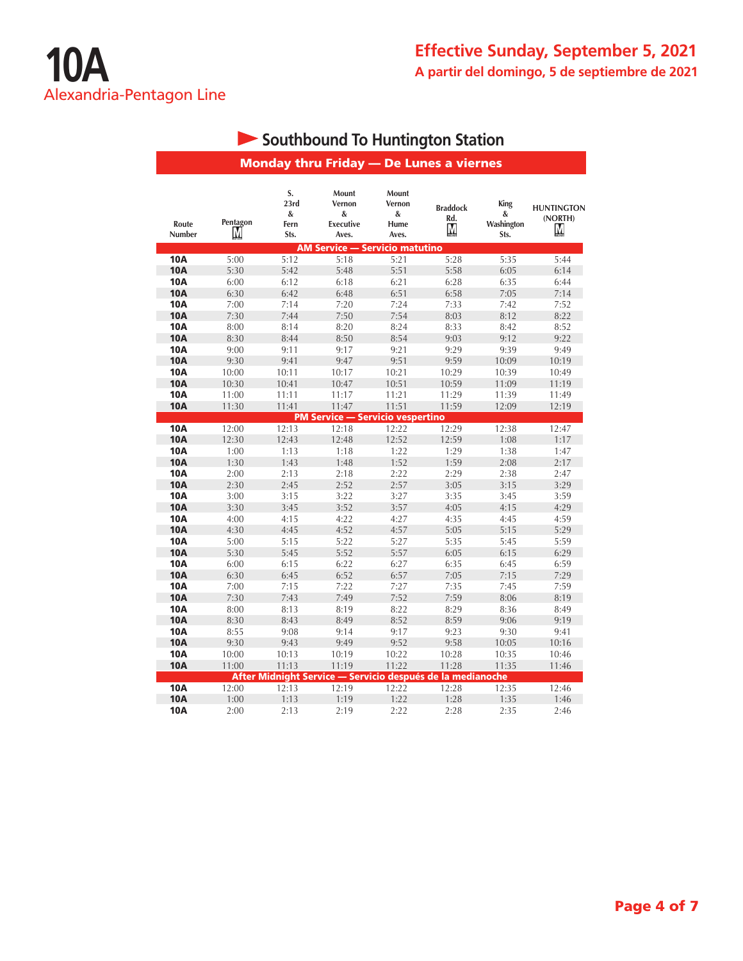|                          |               |                                 | <b>Monday thru Friday - De Lunes a viernes</b>             |                                       |                             |                                 |                                   |
|--------------------------|---------------|---------------------------------|------------------------------------------------------------|---------------------------------------|-----------------------------|---------------------------------|-----------------------------------|
| Route<br><b>Number</b>   | Pentagon<br>M | S.<br>23rd<br>&<br>Fern<br>Sts. | Mount<br>Vernon<br>&<br><b>Executive</b><br>Aves.          | Mount<br>Vernon<br>&<br>Hume<br>Aves. | <b>Braddock</b><br>Rd.<br>M | King<br>&<br>Washington<br>Sts. | <b>HUNTINGTON</b><br>(NORTH)<br>Μ |
|                          |               |                                 | <b>AM Service — Servicio matutino</b>                      |                                       |                             |                                 |                                   |
| <b>10A</b>               | 5:00          | 5:12                            | 5:18                                                       | 5:21                                  | 5:28                        | 5:35                            | 5:44                              |
| <b>10A</b>               | 5:30          | 5:42                            | 5:48                                                       | 5:51                                  | 5:58                        | 6:05                            | 6:14                              |
| 10A                      | 6:00          | 6:12                            | 6:18                                                       | 6:21                                  | 6:28                        | 6:35                            | 6:44                              |
| <b>10A</b>               | 6:30          | 6:42                            | 6:48                                                       | 6:51                                  | 6:58                        | 7:05                            | 7:14                              |
| 10A                      | 7:00          | 7:14                            | 7:20                                                       | 7:24                                  | 7:33                        | 7:42                            | 7:52                              |
| <b>10A</b>               | 7:30          | 7:44                            | 7:50                                                       | 7:54                                  | 8:03                        | 8:12                            | 8:22                              |
| 10A                      | 8:00          | 8:14                            | 8:20                                                       | 8:24                                  | 8:33                        | 8:42                            | 8:52                              |
| <b>10A</b>               | 8:30          | 8:44                            | 8:50                                                       | 8:54                                  | 9:03                        | 9:12                            | 9:22                              |
| 10A                      | 9:00          | 9:11                            | 9:17                                                       | 9:21                                  | 9:29                        | 9:39                            | 9:49                              |
| <b>10A</b>               | 9:30          | 9:41                            | 9:47                                                       | 9:51                                  | 9:59                        | 10:09                           | 10:19                             |
| 10A                      | 10:00         | 10:11                           | 10:17                                                      | 10:21                                 | 10:29                       | 10:39                           | 10:49                             |
| <b>10A</b>               | 10:30         | 10:41                           | 10:47                                                      | 10:51                                 | 10:59                       | 11:09                           | 11:19                             |
| 10A                      | 11:00         | 11:11                           | 11:17                                                      | 11:21                                 | 11:29                       | 11:39                           | 11:49                             |
| <b>10A</b>               | 11:30         | 11:41                           | 11:47                                                      | 11:51                                 | 11:59                       | 12:09                           | 12:19                             |
| <b>10A</b>               |               |                                 | <b>PM Service - Servicio vespertino</b>                    |                                       |                             |                                 |                                   |
|                          | 12:00         | 12:13                           | 12:18                                                      | 12:22                                 | 12:29                       | 12:38                           | 12:47                             |
| <b>10A</b>               | 12:30         | 12:43                           | 12:48                                                      | 12:52                                 | 12:59                       | 1:08                            | 1:17                              |
| <b>10A</b>               | 1:00          | 1:13                            | 1:18                                                       | 1:22                                  | 1:29                        | 1:38                            | 1:47                              |
| <b>10A</b><br><b>10A</b> | 1:30          | 1:43<br>2:13                    | 1:48                                                       | 1:52                                  | 1:59                        | 2:08                            | 2:17                              |
|                          | 2:00          |                                 | 2:18                                                       | 2:22                                  | 2:29                        | 2:38                            | 2:47                              |
| <b>10A</b><br><b>10A</b> | 2:30          | 2:45                            | 2:52                                                       | 2:57                                  | 3:05                        | 3:15                            | 3:29                              |
|                          | 3:00          | 3:15                            | 3:22                                                       | 3:27                                  | 3:35                        | 3:45                            | 3:59                              |
| <b>10A</b><br><b>10A</b> | 3:30          | 3:45                            | 3:52                                                       | 3:57                                  | 4:05                        | 4:15                            | 4:29                              |
|                          | 4:00          | 4:15                            | 4:22                                                       | 4:27                                  | 4:35                        | 4:45                            | 4:59                              |
| <b>10A</b><br><b>10A</b> | 4:30          | 4:45                            | 4:52                                                       | 4:57                                  | 5:05                        | 5:15                            | 5:29                              |
| <b>10A</b>               | 5:00<br>5:30  | 5:15                            | 5:22<br>5:52                                               | 5:27                                  | 5:35<br>6:05                | 5:45                            | 5:59                              |
| <b>10A</b>               | 6:00          | 5:45<br>6:15                    | 6:22                                                       | 5:57<br>6:27                          | 6:35                        | 6:15<br>6:45                    | 6:29<br>6:59                      |
| <b>10A</b>               | 6:30          | 6:45                            | 6:52                                                       | 6:57                                  | 7:05                        | 7:15                            | 7:29                              |
| <b>10A</b>               | 7:00          | 7:15                            | 7:22                                                       | 7:27                                  | 7:35                        | 7:45                            | 7:59                              |
| <b>10A</b>               | 7:30          | 7:43                            | 7:49                                                       | 7:52                                  | 7:59                        | 8:06                            | 8:19                              |
| <b>10A</b>               | 8:00          | 8:13                            | 8:19                                                       | 8:22                                  | 8:29                        | 8:36                            | 8:49                              |
| <b>10A</b>               | 8:30          | 8:43                            | 8:49                                                       | 8:52                                  | 8:59                        | 9:06                            | 9:19                              |
| <b>10A</b>               | 8:55          | 9:08                            | 9:14                                                       | 9:17                                  | 9:23                        | 9:30                            | 9:41                              |
| <b>10A</b>               | 9:30          | 9:43                            | 9:49                                                       | 9:52                                  | 9:58                        | 10:05                           | 10:16                             |
| <b>10A</b>               | 10:00         | 10:13                           | 10:19                                                      | 10:22                                 | 10:28                       | 10:35                           | 10:46                             |
| <b>10A</b>               | 11:00         | 11:13                           | 11:19                                                      | 11:22                                 | 11:28                       | 11:35                           | 11:46                             |
|                          |               |                                 | After Midnight Service — Servicio después de la medianoche |                                       |                             |                                 |                                   |
| <b>10A</b>               | 12:00         | 12:13                           | 12:19                                                      | 12:22                                 | 12:28                       | 12:35                           | 12:46                             |
| <b>10A</b>               | 1:00          | 1:13                            | 1:19                                                       | 1:22                                  | 1:28                        | 1:35                            | 1:46                              |
|                          |               |                                 |                                                            |                                       |                             |                                 |                                   |

# **Southbound To Huntington Station**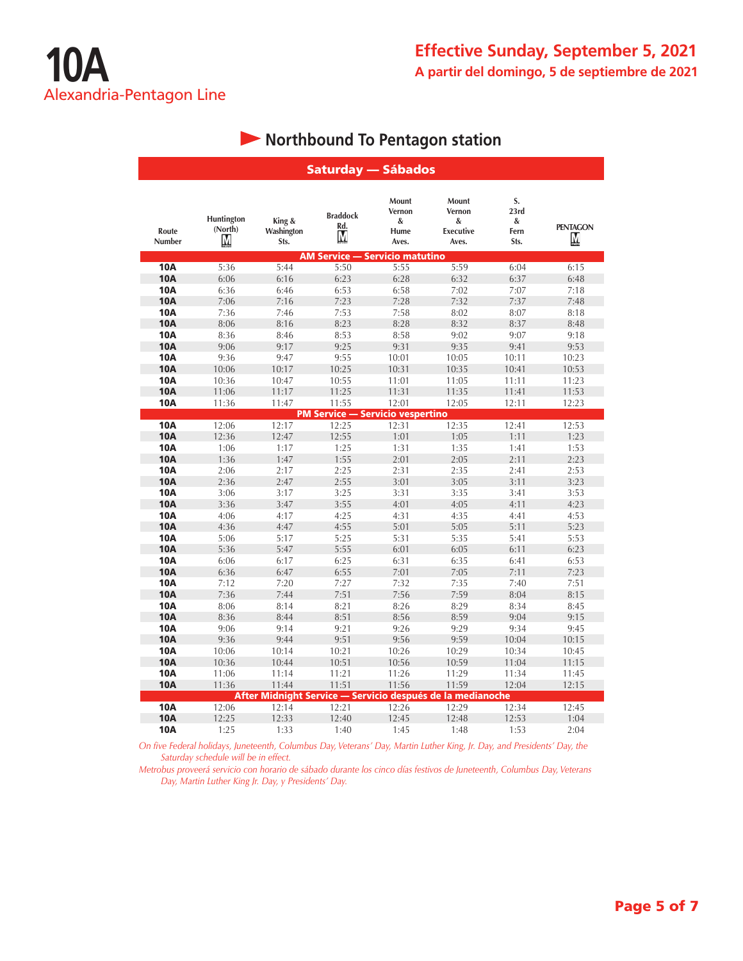|                 |                            |                              | Saturday — Sábados                                         |                                       |                                                   |                                 |                      |
|-----------------|----------------------------|------------------------------|------------------------------------------------------------|---------------------------------------|---------------------------------------------------|---------------------------------|----------------------|
| Route<br>Number | Huntington<br>(North)<br>М | King &<br>Washington<br>Sts. | <b>Braddock</b><br>Rd.<br>M                                | Mount<br>Vernon<br>&<br>Hume<br>Aves. | Mount<br>Vernon<br>&<br><b>Executive</b><br>Aves. | S.<br>23rd<br>&<br>Fern<br>Sts. | <b>PENTAGON</b><br>M |
|                 |                            |                              | <b>AM Service — Servicio matutino</b>                      |                                       |                                                   |                                 |                      |
| 10A             | 5:36                       | 5:44                         | 5:50                                                       | 5:55                                  | 5:59                                              | 6:04                            | 6:15                 |
| <b>10A</b>      | 6:06                       | 6:16                         | 6:23                                                       | 6:28                                  | 6:32                                              | 6:37                            | 6:48                 |
| <b>10A</b>      | 6:36                       | 6:46                         | 6:53                                                       | 6:58                                  | 7:02                                              | 7:07                            | 7:18                 |
| <b>10A</b>      | 7:06                       | 7:16                         | 7:23                                                       | 7:28                                  | 7:32                                              | 7:37                            | 7:48                 |
| <b>10A</b>      | 7:36                       | 7:46                         | 7:53                                                       | 7:58                                  | 8:02                                              | 8:07                            | 8:18                 |
| <b>10A</b>      | 8:06                       | 8:16                         | 8:23                                                       | 8:28                                  | 8:32                                              | 8:37                            | 8:48                 |
| <b>10A</b>      | 8:36                       | 8:46                         | 8:53                                                       | 8:58                                  | 9:02                                              | 9:07                            | 9:18                 |
| <b>10A</b>      | 9:06                       | 9:17                         | 9:25                                                       | 9:31                                  | 9:35                                              | 9:41                            | 9:53                 |
| <b>10A</b>      | 9:36                       | 9:47                         | 9:55                                                       | 10:01                                 | 10:05                                             | 10:11                           | 10:23                |
| <b>10A</b>      | 10:06                      | 10:17                        | 10:25                                                      | 10:31                                 | 10:35                                             | 10:41                           | 10:53                |
| <b>10A</b>      | 10:36                      | 10:47                        | 10:55                                                      | 11:01                                 | 11:05                                             | 11:11                           | 11:23                |
| <b>10A</b>      | 11:06                      | 11:17                        | 11:25                                                      | 11:31                                 | 11:35                                             | 11:41                           | 11:53                |
| <b>10A</b>      | 11:36                      | 11:47                        | 11:55                                                      | 12:01                                 | 12:05                                             | 12:11                           | 12:23                |
|                 |                            |                              | <b>PM Service - Servicio vespertino</b>                    |                                       |                                                   |                                 |                      |
| <b>10A</b>      | 12:06                      | 12:17                        | 12:25                                                      | 12:31                                 | 12:35                                             | 12:41                           | 12:53                |
| <b>10A</b>      | 12:36                      | 12:47                        | 12:55                                                      | 1:01                                  | 1:05                                              | 1:11                            | 1:23                 |
| <b>10A</b>      | 1:06                       | 1:17                         | 1:25                                                       | 1:31                                  | 1:35                                              | 1:41                            | 1:53                 |
| <b>10A</b>      | 1:36                       | 1:47                         | 1:55                                                       | 2:01                                  | 2:05                                              | 2:11                            | 2:23                 |
| <b>10A</b>      | 2:06                       | 2:17                         | 2:25                                                       | 2:31                                  | 2:35                                              | 2:41                            | 2:53                 |
| <b>10A</b>      | 2:36                       | 2:47                         | 2:55                                                       | 3:01                                  | 3:05                                              | 3:11                            | 3:23                 |
| <b>10A</b>      | 3:06                       | 3:17                         | 3:25                                                       | 3:31                                  | 3:35                                              | 3:41                            | 3:53                 |
| <b>10A</b>      | 3:36                       | 3:47                         | 3:55                                                       | 4:01                                  | 4:05                                              | 4:11                            | 4:23                 |
| <b>10A</b>      | 4:06                       | 4:17                         | 4:25                                                       | 4:31                                  | 4:35                                              | 4:41                            | 4:53                 |
| <b>10A</b>      | 4:36                       | 4:47                         | 4:55                                                       | 5:01                                  | 5:05                                              | 5:11                            | 5:23                 |
| <b>10A</b>      | 5:06                       | 5:17                         | 5:25                                                       | 5:31                                  | 5:35                                              | 5:41                            | 5:53                 |
| <b>10A</b>      | 5:36                       | 5:47                         | 5:55                                                       | 6:01                                  | 6:05                                              | 6:11                            | 6:23                 |
| <b>10A</b>      | 6:06                       | 6:17                         | 6:25                                                       | 6:31                                  | 6:35                                              | 6:41                            | 6:53                 |
| <b>10A</b>      | 6:36                       | 6:47                         | 6:55                                                       | 7:01                                  | 7:05                                              | 7:11                            | 7:23                 |
| <b>10A</b>      | 7:12                       | 7:20                         | 7:27                                                       | 7:32                                  | 7:35                                              | 7:40                            | 7:51                 |
| <b>10A</b>      | 7:36                       | 7:44                         | 7:51                                                       | 7:56                                  | 7:59                                              | 8:04                            | 8:15                 |
| <b>10A</b>      | 8:06                       | 8:14                         | 8:21                                                       | 8:26                                  | 8:29                                              | 8:34                            | 8:45                 |
| <b>10A</b>      | 8:36                       | 8:44                         | 8:51                                                       | 8:56                                  | 8:59                                              | 9:04                            | 9:15                 |
| <b>10A</b>      | 9:06                       | 9:14                         | 9:21                                                       | 9:26                                  | 9:29                                              | 9:34                            | 9:45                 |
| <b>10A</b>      | 9:36                       | 9:44                         | 9:51                                                       | 9:56                                  | 9:59                                              | 10:04                           | 10:15                |
| <b>10A</b>      | 10:06                      | 10:14                        | 10:21                                                      | 10:26                                 | 10:29                                             | 10:34                           | 10:45                |
| <b>10A</b>      | 10:36                      | 10:44                        | 10:51                                                      | 10:56                                 | 10:59                                             | 11:04                           | 11:15                |
| <b>10A</b>      | 11:06                      | 11:14                        | 11:21                                                      | 11:26                                 | 11:29                                             | 11:34                           | 11:45                |
| <b>10A</b>      | 11:36                      | 11:44                        | 11:51                                                      | 11:56                                 | 11:59                                             | 12:04                           | 12:15                |
|                 |                            |                              | After Midnight Service - Servicio después de la medianoche |                                       |                                                   |                                 |                      |
| <b>10A</b>      | 12:06                      | 12:14                        | 12:21                                                      | 12:26                                 | 12:29                                             | 12:34                           | 12:45                |
| <b>10A</b>      | 12:25                      | 12:33                        | 12:40                                                      | 12:45                                 | 12:48                                             | 12:53                           | 1:04                 |
| <b>10A</b>      | 1:25                       | 1:33                         | 1:40                                                       | 1:45                                  | 1:48                                              | 1:53                            | 2:04                 |

## **• Northbound To Pentagon station**

*On five Federal holidays, Juneteenth, Columbus Day, Veterans' Day, Martin Luther King, Jr. Day, and Presidents' Day, the Saturday schedule will be in effect.*

*Metrobus proveerá servicio con horario de sábado durante los cinco días festivos de Juneteenth, Columbus Day, Veterans Day, Martin Luther King Jr. Day, y Presidents' Day.*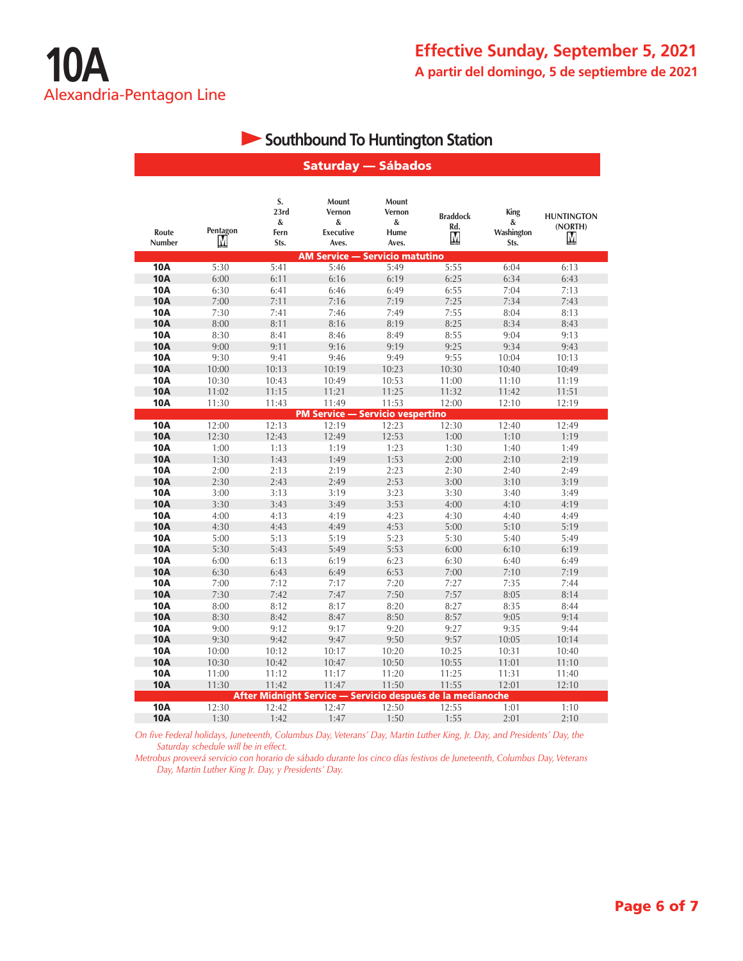### **Southbound To Huntington Station**

|                          |               |                                 | <b>Saturday — Sábados</b>                                  |                                       |                             |                                 |                                   |
|--------------------------|---------------|---------------------------------|------------------------------------------------------------|---------------------------------------|-----------------------------|---------------------------------|-----------------------------------|
| Route<br>Number          | Pentagon<br>М | S.<br>23rd<br>&<br>Fern<br>Sts. | Mount<br>Vernon<br>&<br><b>Executive</b><br>Aves.          | Mount<br>Vernon<br>&<br>Hume<br>Aves. | <b>Braddock</b><br>Rd.<br>M | King<br>&<br>Washington<br>Sts. | <b>HUNTINGTON</b><br>(NORTH)<br>Μ |
|                          |               |                                 | <b>AM Service — Servicio matutino</b>                      |                                       |                             |                                 |                                   |
| 10A                      | 5:30          | 5:41                            | 5:46                                                       | 5:49                                  | 5:55                        | 6:04                            | 6:13                              |
| <b>10A</b>               | 6:00          | 6:11                            | 6:16                                                       | 6:19                                  | 6:25                        | 6:34                            | 6:43                              |
| <b>10A</b>               | 6:30          | 6:41                            | 6:46                                                       | 6:49                                  | 6:55                        | 7:04                            | 7:13                              |
| <b>10A</b>               | 7:00          | 7:11                            | 7:16                                                       | 7:19                                  | 7:25                        | 7:34                            | 7:43                              |
| <b>10A</b>               | 7:30          | 7:41                            | 7:46                                                       | 7:49                                  | 7:55                        | 8:04                            | 8:13                              |
| <b>10A</b>               | 8:00          | 8:11                            | 8:16                                                       | 8:19                                  | 8:25                        | 8:34                            | 8:43                              |
| <b>10A</b>               | 8:30          | 8:41                            | 8:46                                                       | 8:49                                  | 8:55                        | 9:04                            | 9:13                              |
| <b>10A</b>               | 9:00          | 9:11                            | 9:16                                                       | 9:19                                  | 9:25                        | 9:34                            | 9:43                              |
| <b>10A</b>               | 9:30          | 9:41                            | 9:46                                                       | 9:49                                  | 9:55                        | 10:04                           | 10:13                             |
| <b>10A</b>               | 10:00         | 10:13                           | 10:19                                                      | 10:23                                 | 10:30                       | 10:40                           | 10:49                             |
| <b>10A</b>               | 10:30         | 10:43                           | 10:49                                                      | 10:53                                 | 11:00                       | 11:10                           | 11:19                             |
| <b>10A</b>               | 11:02         | 11:15                           | 11:21                                                      | 11:25                                 | 11:32                       | 11:42                           | 11:51                             |
| <b>10A</b>               | 11:30         | 11:43                           | 11:49                                                      | 11:53                                 | 12:00                       | 12:10                           | 12:19                             |
|                          |               |                                 | <b>PM Service - Servicio vespertino</b>                    |                                       |                             |                                 |                                   |
| <b>10A</b>               | 12:00         | 12:13                           | 12:19                                                      | 12:23                                 | 12:30                       | 12:40                           | 12:49                             |
| <b>10A</b>               | 12:30         | 12:43                           | 12:49                                                      | 12:53                                 | 1:00                        | 1:10                            | 1:19                              |
| <b>10A</b>               | 1:00          | 1:13                            | 1:19                                                       | 1:23                                  | 1:30                        | 1:40                            | 1:49                              |
| <b>10A</b>               | 1:30          | 1:43                            | 1:49                                                       | 1:53                                  | 2:00                        | 2:10                            | 2:19                              |
| <b>10A</b>               | 2:00          | 2:13                            | 2:19                                                       | 2:23                                  | 2:30                        | 2:40                            | 2:49                              |
| <b>10A</b>               | 2:30          | 2:43                            | 2:49                                                       | 2:53                                  | 3:00                        | 3:10                            | 3:19                              |
| <b>10A</b>               | 3:00          | 3:13                            | 3:19                                                       | 3:23                                  | 3:30                        | 3:40                            | 3:49                              |
| <b>10A</b>               | 3:30          | 3:43                            | 3:49                                                       | 3:53                                  | 4:00                        | 4:10                            | 4:19                              |
| <b>10A</b>               | 4:00          | 4:13                            | 4:19                                                       | 4:23                                  | 4:30                        | 4:40                            | 4:49                              |
| <b>10A</b><br><b>10A</b> | 4:30<br>5:00  | 4:43                            | 4:49                                                       | 4:53                                  | 5:00                        | 5:10                            | 5:19                              |
| <b>10A</b>               |               | 5:13                            | 5:19                                                       | 5:23                                  | 5:30                        | 5:40                            | 5:49                              |
| <b>10A</b>               | 5:30          | 5:43<br>6:13                    | 5:49<br>6:19                                               | 5:53                                  | 6:00                        | 6:10<br>6:40                    | 6:19<br>6:49                      |
| <b>10A</b>               | 6:00<br>6:30  | 6:43                            | 6:49                                                       | 6:23<br>6:53                          | 6:30<br>7:00                | 7:10                            | 7:19                              |
| <b>10A</b>               | 7:00          | 7:12                            | 7:17                                                       | 7:20                                  | 7:27                        | 7:35                            | 7:44                              |
| <b>10A</b>               | 7:30          | 7:42                            | 7:47                                                       | 7:50                                  | 7:57                        | 8:05                            | 8:14                              |
| <b>10A</b>               | 8:00          | 8:12                            | 8:17                                                       | 8:20                                  | 8:27                        | 8:35                            | 8:44                              |
| <b>10A</b>               | 8:30          | 8:42                            | 8:47                                                       | 8:50                                  | 8:57                        | 9:05                            | 9:14                              |
| <b>10A</b>               | 9:00          | 9:12                            | 9:17                                                       | 9:20                                  | 9:27                        | 9:35                            | 9:44                              |
| <b>10A</b>               | 9:30          | 9:42                            | 9:47                                                       | 9:50                                  | 9:57                        | 10:05                           | 10:14                             |
| <b>10A</b>               | 10:00         | 10:12                           | 10:17                                                      | 10:20                                 | 10:25                       | 10:31                           | 10:40                             |
| <b>10A</b>               | 10:30         | 10:42                           | 10:47                                                      | 10:50                                 | 10:55                       | 11:01                           | 11:10                             |
| <b>10A</b>               | 11:00         | 11:12                           | 11:17                                                      | 11:20                                 | 11:25                       | 11:31                           | 11:40                             |
| <b>10A</b>               | 11:30         | 11:42                           | 11:47                                                      | 11:50                                 | 11:55                       | 12:01                           | 12:10                             |
|                          |               |                                 | After Midnight Service - Servicio después de la medianoche |                                       |                             |                                 |                                   |
| <b>10A</b>               | 12:30         | 12:42                           | 12:47                                                      | 12:50                                 | 12:55                       | 1:01                            | 1:10                              |
| <b>10A</b>               | 1:30          | 1:42                            | 1:47                                                       | 1:50                                  | 1:55                        | 2:01                            | 2:10                              |

*On five Federal holidays, Juneteenth, Columbus Day, Veterans' Day, Martin Luther King, Jr. Day, and Presidents' Day, the Saturday schedule will be in effect.*

*Metrobus proveerá servicio con horario de sábado durante los cinco días festivos de Juneteenth, Columbus Day, Veterans Day, Martin Luther King Jr. Day, y Presidents' Day.*